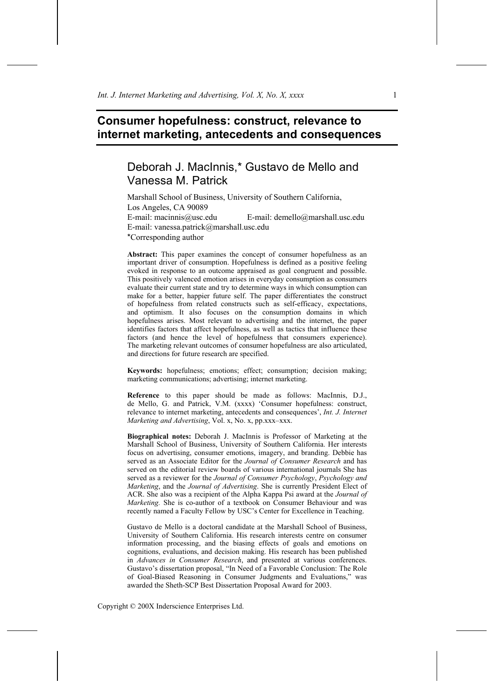# **Consumer hopefulness: construct, relevance to internet marketing, antecedents and consequences**

## Deborah J. MacInnis,\* Gustavo de Mello and Vanessa M. Patrick

Marshall School of Business, University of Southern California, Los Angeles, CA 90089 E-mail: macinnis@usc.edu E-mail: demello@marshall.usc.edu E-mail: vanessa.patrick@marshall.usc.edu \*Corresponding author

**Abstract:** This paper examines the concept of consumer hopefulness as an important driver of consumption. Hopefulness is defined as a positive feeling evoked in response to an outcome appraised as goal congruent and possible. This positively valenced emotion arises in everyday consumption as consumers evaluate their current state and try to determine ways in which consumption can make for a better, happier future self. The paper differentiates the construct of hopefulness from related constructs such as self-efficacy, expectations, and optimism. It also focuses on the consumption domains in which hopefulness arises. Most relevant to advertising and the internet, the paper identifies factors that affect hopefulness, as well as tactics that influence these factors (and hence the level of hopefulness that consumers experience). The marketing relevant outcomes of consumer hopefulness are also articulated, and directions for future research are specified.

**Keywords:** hopefulness; emotions; effect; consumption; decision making; marketing communications; advertising; internet marketing.

**Reference** to this paper should be made as follows: MacInnis, D.J., de Mello, G. and Patrick, V.M. (xxxx) 'Consumer hopefulness: construct, relevance to internet marketing, antecedents and consequences', *Int. J. Internet Marketing and Advertising*, Vol. x, No. x, pp.xxx–xxx.

**Biographical notes:** Deborah J. MacInnis is Professor of Marketing at the Marshall School of Business, University of Southern California. Her interests focus on advertising, consumer emotions, imagery, and branding. Debbie has served as an Associate Editor for the *Journal of Consumer Research* and has served on the editorial review boards of various international journals She has served as a reviewer for the *Journal of Consumer Psychology*, *Psychology and Marketing*, and the *Journal of Advertising*. She is currently President Elect of ACR. She also was a recipient of the Alpha Kappa Psi award at the *Journal of Marketing.* She is co-author of a textbook on Consumer Behaviour and was recently named a Faculty Fellow by USC's Center for Excellence in Teaching.

Gustavo de Mello is a doctoral candidate at the Marshall School of Business, University of Southern California. His research interests centre on consumer information processing, and the biasing effects of goals and emotions on cognitions, evaluations, and decision making. His research has been published in *Advances in Consumer Research*, and presented at various conferences. Gustavo's dissertation proposal, "In Need of a Favorable Conclusion: The Role of Goal-Biased Reasoning in Consumer Judgments and Evaluations," was awarded the Sheth-SCP Best Dissertation Proposal Award for 2003.

Copyright © 200X Inderscience Enterprises Ltd.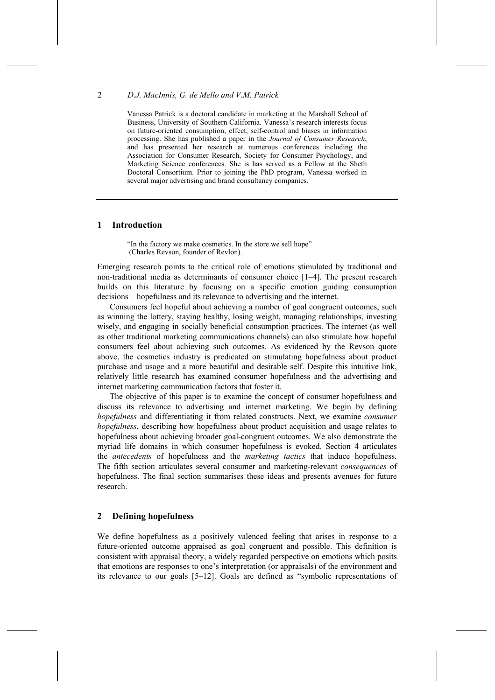Vanessa Patrick is a doctoral candidate in marketing at the Marshall School of Business, University of Southern California. Vanessa's research interests focus on future-oriented consumption, effect, self-control and biases in information processing. She has published a paper in the *Journal of Consumer Research*, and has presented her research at numerous conferences including the Association for Consumer Research, Society for Consumer Psychology, and Marketing Science conferences. She is has served as a Fellow at the Sheth Doctoral Consortium. Prior to joining the PhD program, Vanessa worked in several major advertising and brand consultancy companies.

## **1 Introduction**

"In the factory we make cosmetics. In the store we sell hope" (Charles Revson, founder of Revlon).

Emerging research points to the critical role of emotions stimulated by traditional and non-traditional media as determinants of consumer choice [1–4]. The present research builds on this literature by focusing on a specific emotion guiding consumption decisions – hopefulness and its relevance to advertising and the internet.

Consumers feel hopeful about achieving a number of goal congruent outcomes, such as winning the lottery, staying healthy, losing weight, managing relationships, investing wisely, and engaging in socially beneficial consumption practices. The internet (as well as other traditional marketing communications channels) can also stimulate how hopeful consumers feel about achieving such outcomes. As evidenced by the Revson quote above, the cosmetics industry is predicated on stimulating hopefulness about product purchase and usage and a more beautiful and desirable self. Despite this intuitive link, relatively little research has examined consumer hopefulness and the advertising and internet marketing communication factors that foster it.

The objective of this paper is to examine the concept of consumer hopefulness and discuss its relevance to advertising and internet marketing. We begin by defining *hopefulness* and differentiating it from related constructs. Next, we examine *consumer hopefulness*, describing how hopefulness about product acquisition and usage relates to hopefulness about achieving broader goal-congruent outcomes. We also demonstrate the myriad life domains in which consumer hopefulness is evoked. Section 4 articulates the *antecedents* of hopefulness and the *marketing tactics* that induce hopefulness. The fifth section articulates several consumer and marketing-relevant *consequences* of hopefulness. The final section summarises these ideas and presents avenues for future research.

## **2 Defining hopefulness**

We define hopefulness as a positively valenced feeling that arises in response to a future-oriented outcome appraised as goal congruent and possible. This definition is consistent with appraisal theory, a widely regarded perspective on emotions which posits that emotions are responses to one's interpretation (or appraisals) of the environment and its relevance to our goals [5–12]. Goals are defined as "symbolic representations of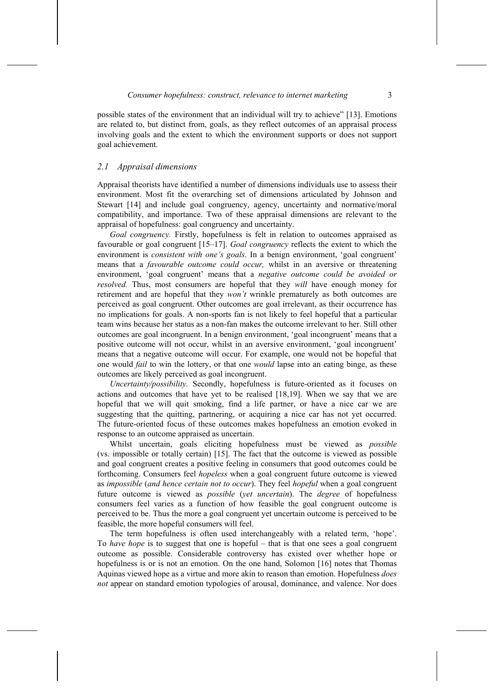possible states of the environment that an individual will try to achieve" [13]. Emotions are related to, but distinct from, goals, as they reflect outcomes of an appraisal process involving goals and the extent to which the environment supports or does not support goal achievement.

#### *2.1 Appraisal dimensions*

Appraisal theorists have identified a number of dimensions individuals use to assess their environment. Most fit the overarching set of dimensions articulated by Johnson and Stewart [14] and include goal congruency, agency, uncertainty and normative/moral compatibility, and importance. Two of these appraisal dimensions are relevant to the appraisal of hopefulness: goal congruency and uncertainty.

*Goal congruency.* Firstly, hopefulness is felt in relation to outcomes appraised as favourable or goal congruent [15–17]. *Goal congruency* reflects the extent to which the environment is *consistent with one's goals*. In a benign environment, 'goal congruent' means that a *favourable outcome could occur,* whilst in an aversive or threatening environment, 'goal congruent' means that a *negative outcome could be avoided or resolved.* Thus, most consumers are hopeful that they *will* have enough money for retirement and are hopeful that they *won't* wrinkle prematurely as both outcomes are perceived as goal congruent. Other outcomes are goal irrelevant, as their occurrence has no implications for goals. A non-sports fan is not likely to feel hopeful that a particular team wins because her status as a non-fan makes the outcome irrelevant to her. Still other outcomes are goal incongruent. In a benign environment, 'goal incongruent' means that a positive outcome will not occur, whilst in an aversive environment, 'goal incongruent' means that a negative outcome will occur. For example, one would not be hopeful that one would *fail* to win the lottery, or that one *would* lapse into an eating binge, as these outcomes are likely perceived as goal incongruent.

*Uncertainty/possibility.* Secondly, hopefulness is future-oriented as it focuses on actions and outcomes that have yet to be realised [18,19]. When we say that we are hopeful that we will quit smoking, find a life partner, or have a nice car we are suggesting that the quitting, partnering, or acquiring a nice car has not yet occurred. The future-oriented focus of these outcomes makes hopefulness an emotion evoked in response to an outcome appraised as uncertain.

Whilst uncertain, goals eliciting hopefulness must be viewed as *possible*  (vs. impossible or totally certain) [15]. The fact that the outcome is viewed as possible and goal congruent creates a positive feeling in consumers that good outcomes could be forthcoming. Consumers feel *hopeless* when a goal congruent future outcome is viewed as *impossible* (*and hence certain not to occur*). They feel *hopeful* when a goal congruent future outcome is viewed as *possible* (*yet uncertain*). The *degree* of hopefulness consumers feel varies as a function of how feasible the goal congruent outcome is perceived to be. Thus the more a goal congruent yet uncertain outcome is perceived to be feasible, the more hopeful consumers will feel.

The term hopefulness is often used interchangeably with a related term, 'hope'. To *have hope* is to suggest that one is hopeful – that is that one sees a goal congruent outcome as possible. Considerable controversy has existed over whether hope or hopefulness is or is not an emotion. On the one hand, Solomon [16] notes that Thomas Aquinas viewed hope as a virtue and more akin to reason than emotion. Hopefulness *does not* appear on standard emotion typologies of arousal, dominance, and valence. Nor does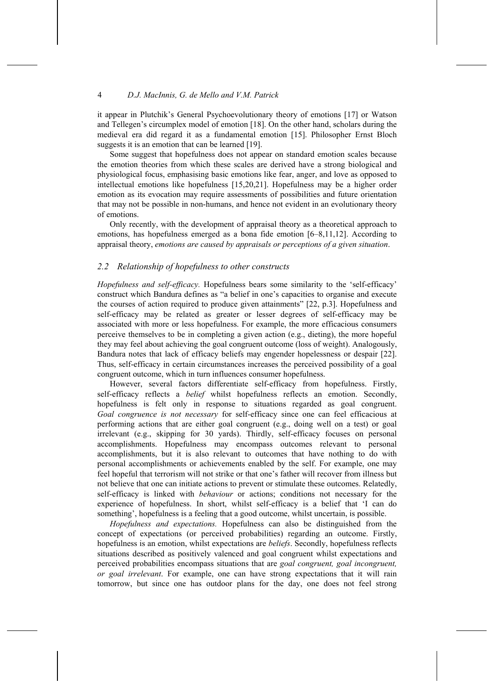it appear in Plutchik's General Psychoevolutionary theory of emotions [17] or Watson and Tellegen's circumplex model of emotion [18]. On the other hand, scholars during the medieval era did regard it as a fundamental emotion [15]. Philosopher Ernst Bloch suggests it is an emotion that can be learned [19].

Some suggest that hopefulness does not appear on standard emotion scales because the emotion theories from which these scales are derived have a strong biological and physiological focus, emphasising basic emotions like fear, anger, and love as opposed to intellectual emotions like hopefulness [15,20,21]. Hopefulness may be a higher order emotion as its evocation may require assessments of possibilities and future orientation that may not be possible in non-humans, and hence not evident in an evolutionary theory of emotions.

Only recently, with the development of appraisal theory as a theoretical approach to emotions, has hopefulness emerged as a bona fide emotion [6–8,11,12]. According to appraisal theory, *emotions are caused by appraisals or perceptions of a given situation*.

#### *2.2 Relationship of hopefulness to other constructs*

*Hopefulness and self-efficacy.* Hopefulness bears some similarity to the 'self-efficacy' construct which Bandura defines as "a belief in one's capacities to organise and execute the courses of action required to produce given attainments" [22, p.3]. Hopefulness and self-efficacy may be related as greater or lesser degrees of self-efficacy may be associated with more or less hopefulness. For example, the more efficacious consumers perceive themselves to be in completing a given action (e.g., dieting), the more hopeful they may feel about achieving the goal congruent outcome (loss of weight). Analogously, Bandura notes that lack of efficacy beliefs may engender hopelessness or despair [22]. Thus, self-efficacy in certain circumstances increases the perceived possibility of a goal congruent outcome, which in turn influences consumer hopefulness.

However, several factors differentiate self-efficacy from hopefulness. Firstly, self-efficacy reflects a *belief* whilst hopefulness reflects an emotion. Secondly, hopefulness is felt only in response to situations regarded as goal congruent. *Goal congruence is not necessary* for self-efficacy since one can feel efficacious at performing actions that are either goal congruent (e.g., doing well on a test) or goal irrelevant (e.g., skipping for 30 yards). Thirdly, self-efficacy focuses on personal accomplishments. Hopefulness may encompass outcomes relevant to personal accomplishments, but it is also relevant to outcomes that have nothing to do with personal accomplishments or achievements enabled by the self. For example, one may feel hopeful that terrorism will not strike or that one's father will recover from illness but not believe that one can initiate actions to prevent or stimulate these outcomes. Relatedly, self-efficacy is linked with *behaviour* or actions; conditions not necessary for the experience of hopefulness. In short, whilst self-efficacy is a belief that 'I can do something', hopefulness is a feeling that a good outcome, whilst uncertain, is possible.

*Hopefulness and expectations.* Hopefulness can also be distinguished from the concept of expectations (or perceived probabilities) regarding an outcome. Firstly, hopefulness is an emotion, whilst expectations are *beliefs*. Secondly, hopefulness reflects situations described as positively valenced and goal congruent whilst expectations and perceived probabilities encompass situations that are *goal congruent, goal incongruent, or goal irrelevant*. For example, one can have strong expectations that it will rain tomorrow, but since one has outdoor plans for the day, one does not feel strong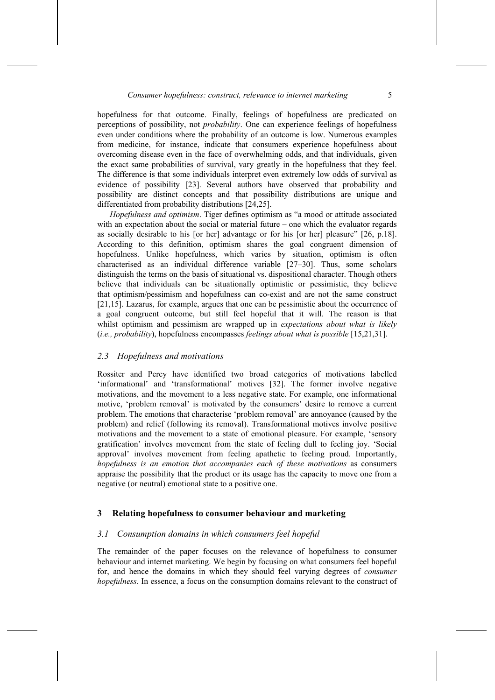hopefulness for that outcome. Finally, feelings of hopefulness are predicated on perceptions of possibility, not *probability*. One can experience feelings of hopefulness even under conditions where the probability of an outcome is low. Numerous examples from medicine, for instance, indicate that consumers experience hopefulness about overcoming disease even in the face of overwhelming odds, and that individuals, given the exact same probabilities of survival, vary greatly in the hopefulness that they feel. The difference is that some individuals interpret even extremely low odds of survival as evidence of possibility [23]. Several authors have observed that probability and possibility are distinct concepts and that possibility distributions are unique and differentiated from probability distributions [24,25].

*Hopefulness and optimism*. Tiger defines optimism as "a mood or attitude associated with an expectation about the social or material future – one which the evaluator regards as socially desirable to his [or her] advantage or for his [or her] pleasure" [26, p.18]. According to this definition, optimism shares the goal congruent dimension of hopefulness. Unlike hopefulness, which varies by situation, optimism is often characterised as an individual difference variable [27–30]. Thus, some scholars distinguish the terms on the basis of situational vs. dispositional character. Though others believe that individuals can be situationally optimistic or pessimistic, they believe that optimism/pessimism and hopefulness can co-exist and are not the same construct [21,15]. Lazarus, for example, argues that one can be pessimistic about the occurrence of a goal congruent outcome, but still feel hopeful that it will. The reason is that whilst optimism and pessimism are wrapped up in *expectations about what is likely*  (*i.e., probability*), hopefulness encompasses *feelings about what is possible* [15,21,31].

#### *2.3 Hopefulness and motivations*

Rossiter and Percy have identified two broad categories of motivations labelled 'informational' and 'transformational' motives [32]. The former involve negative motivations, and the movement to a less negative state. For example, one informational motive, 'problem removal' is motivated by the consumers' desire to remove a current problem. The emotions that characterise 'problem removal' are annoyance (caused by the problem) and relief (following its removal). Transformational motives involve positive motivations and the movement to a state of emotional pleasure. For example, 'sensory gratification' involves movement from the state of feeling dull to feeling joy. 'Social approval' involves movement from feeling apathetic to feeling proud. Importantly, *hopefulness is an emotion that accompanies each of these motivations* as consumers appraise the possibility that the product or its usage has the capacity to move one from a negative (or neutral) emotional state to a positive one.

### **3 Relating hopefulness to consumer behaviour and marketing**

#### *3.1 Consumption domains in which consumers feel hopeful*

The remainder of the paper focuses on the relevance of hopefulness to consumer behaviour and internet marketing. We begin by focusing on what consumers feel hopeful for, and hence the domains in which they should feel varying degrees of *consumer hopefulness*. In essence, a focus on the consumption domains relevant to the construct of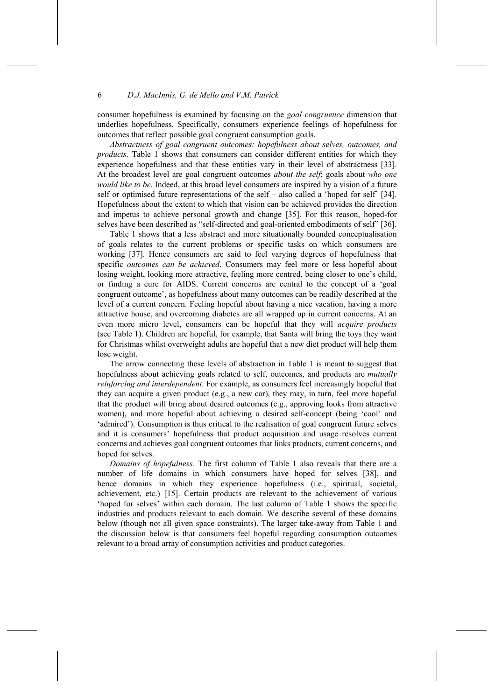consumer hopefulness is examined by focusing on the *goal congruence* dimension that underlies hopefulness. Specifically, consumers experience feelings of hopefulness for outcomes that reflect possible goal congruent consumption goals.

*Abstractness of goal congruent outcomes: hopefulness about selves, outcomes, and products.* Table 1 shows that consumers can consider different entities for which they experience hopefulness and that these entities vary in their level of abstractness [33]. At the broadest level are goal congruent outcomes *about the self*; goals about *who one would like to be*. Indeed, at this broad level consumers are inspired by a vision of a future self or optimised future representations of the self – also called a 'hoped for self' [34]. Hopefulness about the extent to which that vision can be achieved provides the direction and impetus to achieve personal growth and change [35]. For this reason, hoped-for selves have been described as "self-directed and goal-oriented embodiments of self" [36].

Table 1 shows that a less abstract and more situationally bounded conceptualisation of goals relates to the current problems or specific tasks on which consumers are working [37]. Hence consumers are said to feel varying degrees of hopefulness that specific *outcomes can be achieved*. Consumers may feel more or less hopeful about losing weight, looking more attractive, feeling more centred, being closer to one's child, or finding a cure for AIDS. Current concerns are central to the concept of a 'goal congruent outcome', as hopefulness about many outcomes can be readily described at the level of a current concern. Feeling hopeful about having a nice vacation, having a more attractive house, and overcoming diabetes are all wrapped up in current concerns. At an even more micro level, consumers can be hopeful that they will *acquire products*  (see Table 1). Children are hopeful, for example, that Santa will bring the toys they want for Christmas whilst overweight adults are hopeful that a new diet product will help them lose weight.

The arrow connecting these levels of abstraction in Table 1 is meant to suggest that hopefulness about achieving goals related to self, outcomes, and products are *mutually reinforcing and interdependent*. For example, as consumers feel increasingly hopeful that they can acquire a given product (e.g., a new car), they may, in turn, feel more hopeful that the product will bring about desired outcomes (e.g., approving looks from attractive women), and more hopeful about achieving a desired self-concept (being 'cool' and 'admired'). Consumption is thus critical to the realisation of goal congruent future selves and it is consumers' hopefulness that product acquisition and usage resolves current concerns and achieves goal congruent outcomes that links products, current concerns, and hoped for selves.

*Domains of hopefulness.* The first column of Table 1 also reveals that there are a number of life domains in which consumers have hoped for selves [38], and hence domains in which they experience hopefulness (i.e., spiritual, societal, achievement, etc.) [15]. Certain products are relevant to the achievement of various 'hoped for selves' within each domain. The last column of Table 1 shows the specific industries and products relevant to each domain. We describe several of these domains below (though not all given space constraints). The larger take-away from Table 1 and the discussion below is that consumers feel hopeful regarding consumption outcomes relevant to a broad array of consumption activities and product categories.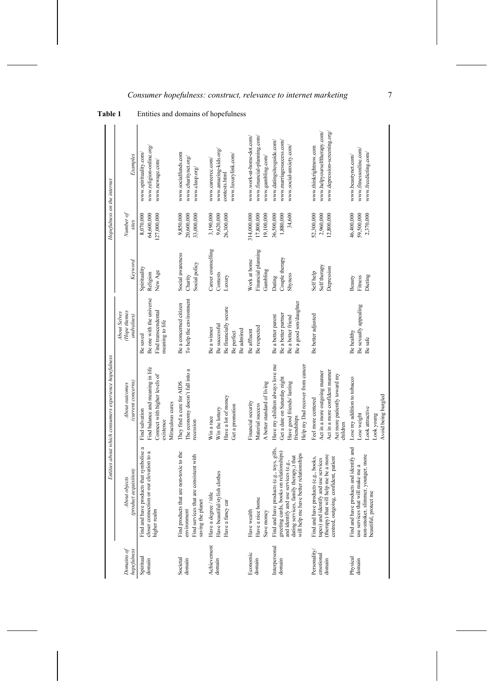|                                     |                                                                                                                                                                                                                   | Entities about which consumers experience hopefulness                                                                                          |                                                                                           |                                                | Hopefulness on the internet             |                                                                                        |
|-------------------------------------|-------------------------------------------------------------------------------------------------------------------------------------------------------------------------------------------------------------------|------------------------------------------------------------------------------------------------------------------------------------------------|-------------------------------------------------------------------------------------------|------------------------------------------------|-----------------------------------------|----------------------------------------------------------------------------------------|
| Domains of<br>hopefulness           | (product acquisition)<br>About objects                                                                                                                                                                            | (current concerns)<br>About outcomes                                                                                                           | Hope themes<br><b>About Selves</b><br>andvalues)                                          | Keyword                                        | Number of<br>sites                      | Examples                                                                               |
| Spiritual<br>domain                 | Find and have products that symbolise a<br>closer connection or our elevation to a<br>higher realm                                                                                                                | Find balance and meaning in life<br>Connect with higher levels of<br>Miraculous cures<br>Find salvation<br>existence                           | Be one with the universe<br>Find transcendental<br>meaning to life<br>Be saved            | Spirituality<br>New Age<br>Religion            | 8,070,000<br>64,600,000<br>127,000,000  | www.religion-online.org/<br>www.spirituality.com/<br>www.newage.com/                   |
| Societal<br>domain                  | Find products that are non-toxic to the<br>Find services that are consistent with<br>saving the planet<br>environment                                                                                             | The economy doesn't fall into a<br>They find a cure for AIDS<br>recession                                                                      | To help the environment<br>Be a concerned citizen                                         | Social awareness<br>Social policy<br>Charity   | 9,850,000<br>20,600,000<br>33,000,000   | www.socialfunds.com<br>www.charitynet.org/<br>www.clasp.org/                           |
| Achievement<br>domain               | Have beautiful/stylish clothes<br>Have a degree / title<br>Have a fancy car                                                                                                                                       | Have a lot of money<br>Get a promotion<br>Win the lottery<br>Win a race                                                                        | Be financially secure<br>Be successful<br>Be a winner<br>Be admired<br>Be perfect         | Career counselling<br>Contests<br>Luxury       | 3,190,000<br>9,620,000<br>26,300,000    | www.amazing-kids.org/<br>www.luxurylink.com/<br>www.careercc.com/<br>contests.html     |
| Economic<br>domain                  | Have a nice home<br>Have wealth<br>Save money                                                                                                                                                                     | A better standard of living<br>Financial security<br>Material success                                                                          | Be respected<br>Be affluent                                                               | Financial planning<br>Work at home<br>Gambling | 314,000,000<br>17,800,000<br>19,100,000 | www.financial-planning.com/<br>www.work-at-home-dot.com/<br>www.gambling.com/          |
| Interpersonal<br>domain             | Find and have products (e.g., toys, gifts,<br>greeting cards, books on relationships)<br>will help me have better relationships<br>dating services, family therapy,) that<br>and identify and use services (e.g., | Have my children always love me<br>Help my Dad recover from cancer<br>Get a date on Saturday night<br>Have good friends/lasting<br>friendships | Be a good son/daughter<br>Be a better partner<br>Be a better parent<br>Be a better friend | Couple therapy<br>Shyness<br>Dating            | 36,500,000<br>1,880,000<br>34,600       | www.datingsitesguide.com/<br>www.marriagesuccess.com/<br>www.social-anxiety.com/       |
| Personality/<br>emotional<br>domain | (therapy) that will help me be a more<br>centred, outgoing, confident, patient<br>Find and have products (e.g., books,<br>tapes) and identify and use services                                                    | Act in a more confident manner<br>Act in a more outgoing manner<br>Act more patiently toward my<br>Feel more centered<br>children              | Be better adjusted                                                                        | Self therapy<br>Depression<br><b>Self</b> help | 52,300,000<br>2,960,000<br>12,800,000   | www.helpyourselftherapy.com/<br>www.depression-screening.org/<br>www.thinkrightnow.com |
| Physical<br>domain                  | Find and have products and identify and<br>non-smoker, slimmer, younger, more<br>use services that will make me a<br>beautiful, protect me                                                                        | Lose my addition to tobacco<br>Avoid being burgled<br>Look attractive<br>Lose weight<br>Look young                                             | Be sexually appealing<br>Be healthy<br>Be safe                                            | Dieting<br>Fitness<br>Beauty                   | 46,400,000<br>59,500,000<br>2,370,000   | www.fitnessonline.com/<br>www.freedieting.com/<br>www.beautynet.com/                   |

## **Table 1** Entities and domains of hopefulness

*Consumer hopefulness: construct, relevance to internet marketing*  $\frac{7}{7}$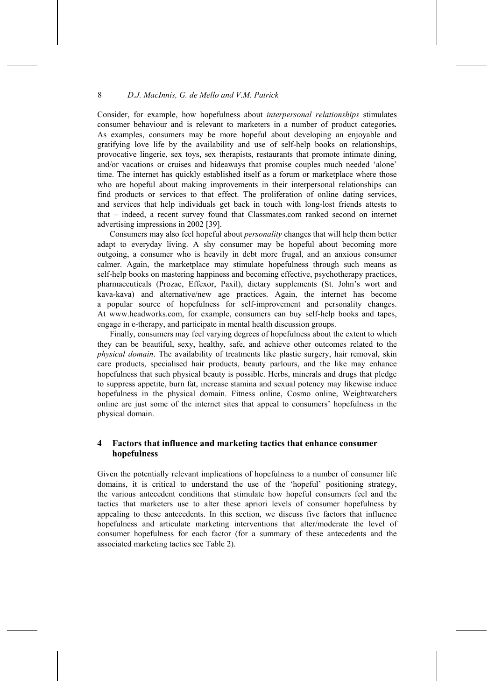Consider, for example, how hopefulness about *interpersonal relationships* stimulates consumer behaviour and is relevant to marketers in a number of product categories*.*  As examples, consumers may be more hopeful about developing an enjoyable and gratifying love life by the availability and use of self-help books on relationships, provocative lingerie, sex toys, sex therapists, restaurants that promote intimate dining, and/or vacations or cruises and hideaways that promise couples much needed 'alone' time. The internet has quickly established itself as a forum or marketplace where those who are hopeful about making improvements in their interpersonal relationships can find products or services to that effect. The proliferation of online dating services, and services that help individuals get back in touch with long-lost friends attests to that – indeed, a recent survey found that Classmates.com ranked second on internet advertising impressions in 2002 [39].

Consumers may also feel hopeful about *personality* changes that will help them better adapt to everyday living. A shy consumer may be hopeful about becoming more outgoing, a consumer who is heavily in debt more frugal, and an anxious consumer calmer. Again, the marketplace may stimulate hopefulness through such means as self-help books on mastering happiness and becoming effective, psychotherapy practices, pharmaceuticals (Prozac, Effexor, Paxil), dietary supplements (St. John's wort and kava-kava) and alternative/new age practices. Again, the internet has become a popular source of hopefulness for self-improvement and personality changes. At www.headworks.com, for example, consumers can buy self-help books and tapes, engage in e-therapy, and participate in mental health discussion groups.

Finally, consumers may feel varying degrees of hopefulness about the extent to which they can be beautiful, sexy, healthy, safe, and achieve other outcomes related to the *physical domain*. The availability of treatments like plastic surgery, hair removal, skin care products, specialised hair products, beauty parlours, and the like may enhance hopefulness that such physical beauty is possible. Herbs, minerals and drugs that pledge to suppress appetite, burn fat, increase stamina and sexual potency may likewise induce hopefulness in the physical domain. Fitness online, Cosmo online, Weightwatchers online are just some of the internet sites that appeal to consumers' hopefulness in the physical domain.

## **4 Factors that influence and marketing tactics that enhance consumer hopefulness**

Given the potentially relevant implications of hopefulness to a number of consumer life domains, it is critical to understand the use of the 'hopeful' positioning strategy, the various antecedent conditions that stimulate how hopeful consumers feel and the tactics that marketers use to alter these apriori levels of consumer hopefulness by appealing to these antecedents. In this section, we discuss five factors that influence hopefulness and articulate marketing interventions that alter/moderate the level of consumer hopefulness for each factor (for a summary of these antecedents and the associated marketing tactics see Table 2).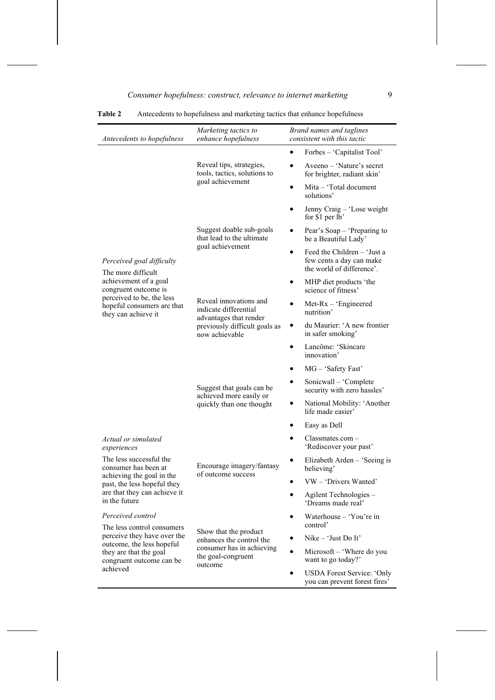## *Consumer hopefulness: construct, relevance to internet marketing* 9

| Antecedents to hopefulness                                                                                                                                                                         | Marketing tactics to<br>enhance hopefulness                                                                                  | Brand names and taglines<br>consistent with this tactic                                           |
|----------------------------------------------------------------------------------------------------------------------------------------------------------------------------------------------------|------------------------------------------------------------------------------------------------------------------------------|---------------------------------------------------------------------------------------------------|
| Perceived goal difficulty<br>The more difficult<br>achievement of a goal<br>congruent outcome is<br>perceived to be, the less<br>hopeful consumers are that<br>they can achieve it                 | Reveal tips, strategies,<br>tools, tactics, solutions to<br>goal achievement                                                 | Forbes - 'Capitalist Tool'<br>$\bullet$                                                           |
|                                                                                                                                                                                                    |                                                                                                                              | Aveeno - 'Nature's secret<br>$\bullet$<br>for brighter, radiant skin'                             |
|                                                                                                                                                                                                    |                                                                                                                              | Mita - 'Total document<br>٠<br>solutions'                                                         |
|                                                                                                                                                                                                    | Suggest doable sub-goals<br>that lead to the ultimate<br>goal achievement                                                    | Jenny Craig - 'Lose weight<br>٠<br>for \$1 per lb'                                                |
|                                                                                                                                                                                                    |                                                                                                                              | Pear's Soap - 'Preparing to<br>be a Beautiful Lady'                                               |
|                                                                                                                                                                                                    |                                                                                                                              | Feed the Children – 'Just a<br>$\bullet$<br>few cents a day can make<br>the world of difference'. |
|                                                                                                                                                                                                    | Reveal innovations and<br>indicate differential<br>advantages that render<br>previously difficult goals as<br>now achievable | MHP diet products 'the<br>٠<br>science of fitness'                                                |
|                                                                                                                                                                                                    |                                                                                                                              | $Met-Rx - 'Engineering$<br>nutrition'                                                             |
|                                                                                                                                                                                                    |                                                                                                                              | du Maurier: 'A new frontier<br>٠<br>in safer smoking'                                             |
|                                                                                                                                                                                                    |                                                                                                                              | Lancôme: 'Skincare<br>٠<br>innovation'                                                            |
|                                                                                                                                                                                                    | Suggest that goals can be<br>achieved more easily or<br>quickly than one thought                                             | MG – 'Safety Fast'                                                                                |
|                                                                                                                                                                                                    |                                                                                                                              | Sonicwall – 'Complete<br>٠<br>security with zero hassles'                                         |
|                                                                                                                                                                                                    |                                                                                                                              | National Mobility: 'Another<br>life made easier'                                                  |
|                                                                                                                                                                                                    |                                                                                                                              | Easy as Dell                                                                                      |
| Actual or simulated<br>experiences<br>The less successful the<br>consumer has been at<br>achieving the goal in the<br>past, the less hopeful they<br>are that they can achieve it<br>in the future | Encourage imagery/fantasy<br>of outcome success                                                                              | $Classmates.com -$<br>'Rediscover your past'                                                      |
|                                                                                                                                                                                                    |                                                                                                                              | Elizabeth Arden – 'Seeing is<br>believing'                                                        |
|                                                                                                                                                                                                    |                                                                                                                              | VW - 'Drivers Wanted'                                                                             |
|                                                                                                                                                                                                    |                                                                                                                              | Agilent Technologies -<br>'Dreams made real'                                                      |
| Perceived control<br>The less control consumers<br>perceive they have over the<br>outcome, the less hopeful<br>they are that the goal<br>congruent outcome can be<br>achieved                      | Show that the product<br>enhances the control the<br>consumer has in achieving<br>the goal-congruent<br>outcome              | Waterhouse – 'You're in<br>control'                                                               |
|                                                                                                                                                                                                    |                                                                                                                              | $Nike - 'Just Do It'$                                                                             |
|                                                                                                                                                                                                    |                                                                                                                              | Microsoft – 'Where do you<br>want to go today?'                                                   |
|                                                                                                                                                                                                    |                                                                                                                              | <b>USDA Forest Service: 'Only</b><br>you can prevent forest fires'                                |

**Table 2** Antecedents to hopefulness and marketing tactics that enhance hopefulness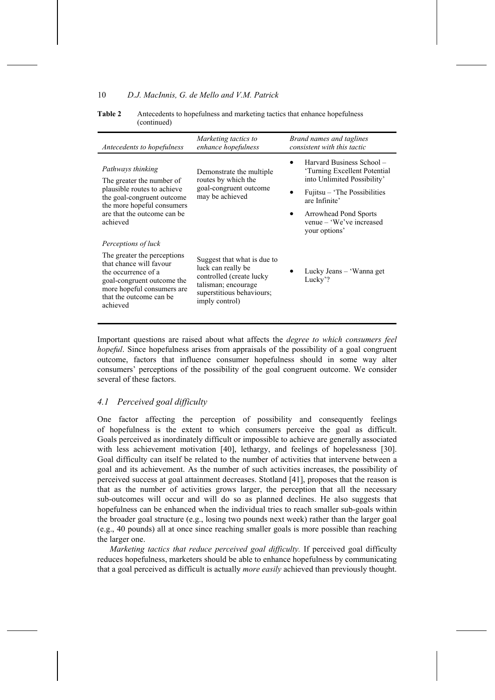| Table 2 | Antecedents to hopefulness and marketing tactics that enhance hopefulness |
|---------|---------------------------------------------------------------------------|
|         | (continued)                                                               |

| <i>Antecedents to hopefulness</i>                                                                                                                                                                       | Marketing tactics to<br>enhance hopefulness                                                                                                         | Brand names and taglines<br>consistent with this tactic                                                                                                                                                        |
|---------------------------------------------------------------------------------------------------------------------------------------------------------------------------------------------------------|-----------------------------------------------------------------------------------------------------------------------------------------------------|----------------------------------------------------------------------------------------------------------------------------------------------------------------------------------------------------------------|
| Pathways thinking<br>The greater the number of<br>plausible routes to achieve<br>the goal-congruent outcome<br>the more hopeful consumers<br>are that the outcome can be<br>achieved                    | Demonstrate the multiple.<br>routes by which the<br>goal-congruent outcome<br>may be achieved                                                       | Harvard Business School -<br>Turning Excellent Potential<br>into Unlimited Possibility'<br>Fujitsu – 'The Possibilities<br>are Infinite'<br>Arrowhead Pond Sports<br>venue – 'We've increased<br>your options' |
| Perceptions of luck<br>The greater the perceptions<br>that chance will favour<br>the occurrence of a<br>goal-congruent outcome the<br>more hopeful consumers are<br>that the outcome can be<br>achieved | Suggest that what is due to<br>luck can really be<br>controlled (create lucky<br>talisman; encourage<br>superstitious behaviours;<br>imply control) | Lucky Jeans – 'Wanna get<br>Lucky'?                                                                                                                                                                            |

Important questions are raised about what affects the *degree to which consumers feel hopeful*. Since hopefulness arises from appraisals of the possibility of a goal congruent outcome, factors that influence consumer hopefulness should in some way alter consumers' perceptions of the possibility of the goal congruent outcome. We consider several of these factors.

## *4.1 Perceived goal difficulty*

One factor affecting the perception of possibility and consequently feelings of hopefulness is the extent to which consumers perceive the goal as difficult. Goals perceived as inordinately difficult or impossible to achieve are generally associated with less achievement motivation [40], lethargy, and feelings of hopelessness [30]. Goal difficulty can itself be related to the number of activities that intervene between a goal and its achievement. As the number of such activities increases, the possibility of perceived success at goal attainment decreases. Stotland [41], proposes that the reason is that as the number of activities grows larger, the perception that all the necessary sub-outcomes will occur and will do so as planned declines. He also suggests that hopefulness can be enhanced when the individual tries to reach smaller sub-goals within the broader goal structure (e.g., losing two pounds next week) rather than the larger goal (e.g., 40 pounds) all at once since reaching smaller goals is more possible than reaching the larger one.

*Marketing tactics that reduce perceived goal difficulty.* If perceived goal difficulty reduces hopefulness, marketers should be able to enhance hopefulness by communicating that a goal perceived as difficult is actually *more easily* achieved than previously thought.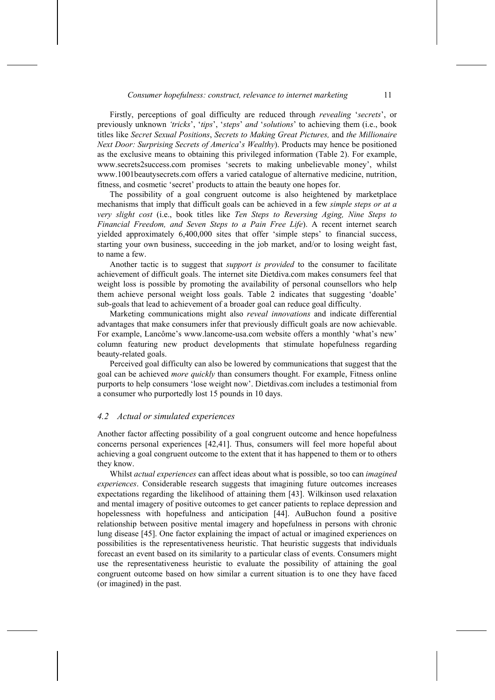#### *Consumer hopefulness: construct, relevance to internet marketing* 11

Firstly, perceptions of goal difficulty are reduced through *revealing* '*secrets*', or previously unknown *'tricks*', '*tips*', '*steps*' *and* '*solutions*' to achieving them (i.e., book titles like *Secret Sexual Positions*, *Secrets to Making Great Pictures,* and *the Millionaire Next Door: Surprising Secrets of America*'*s Wealthy*). Products may hence be positioned as the exclusive means to obtaining this privileged information (Table 2). For example, www.secrets2success.com promises 'secrets to making unbelievable money', whilst www.1001beautysecrets.com offers a varied catalogue of alternative medicine, nutrition, fitness, and cosmetic 'secret' products to attain the beauty one hopes for.

The possibility of a goal congruent outcome is also heightened by marketplace mechanisms that imply that difficult goals can be achieved in a few *simple steps or at a very slight cost* (i.e., book titles like *Ten Steps to Reversing Aging, Nine Steps to Financial Freedom, and Seven Steps to a Pain Free Life*). A recent internet search yielded approximately 6,400,000 sites that offer 'simple steps' to financial success, starting your own business, succeeding in the job market, and/or to losing weight fast, to name a few.

Another tactic is to suggest that *support is provided* to the consumer to facilitate achievement of difficult goals. The internet site Dietdiva.com makes consumers feel that weight loss is possible by promoting the availability of personal counsellors who help them achieve personal weight loss goals. Table 2 indicates that suggesting 'doable' sub-goals that lead to achievement of a broader goal can reduce goal difficulty.

Marketing communications might also *reveal innovations* and indicate differential advantages that make consumers infer that previously difficult goals are now achievable. For example, Lancôme's www.lancome-usa.com website offers a monthly 'what's new' column featuring new product developments that stimulate hopefulness regarding beauty-related goals.

Perceived goal difficulty can also be lowered by communications that suggest that the goal can be achieved *more quickly* than consumers thought. For example, Fitness online purports to help consumers 'lose weight now'. Dietdivas.com includes a testimonial from a consumer who purportedly lost 15 pounds in 10 days.

## *4.2 Actual or simulated experiences*

Another factor affecting possibility of a goal congruent outcome and hence hopefulness concerns personal experiences [42,41]. Thus, consumers will feel more hopeful about achieving a goal congruent outcome to the extent that it has happened to them or to others they know.

Whilst *actual experiences* can affect ideas about what is possible, so too can *imagined experiences*. Considerable research suggests that imagining future outcomes increases expectations regarding the likelihood of attaining them [43]. Wilkinson used relaxation and mental imagery of positive outcomes to get cancer patients to replace depression and hopelessness with hopefulness and anticipation [44]. AuBuchon found a positive relationship between positive mental imagery and hopefulness in persons with chronic lung disease [45]. One factor explaining the impact of actual or imagined experiences on possibilities is the representativeness heuristic. That heuristic suggests that individuals forecast an event based on its similarity to a particular class of events. Consumers might use the representativeness heuristic to evaluate the possibility of attaining the goal congruent outcome based on how similar a current situation is to one they have faced (or imagined) in the past.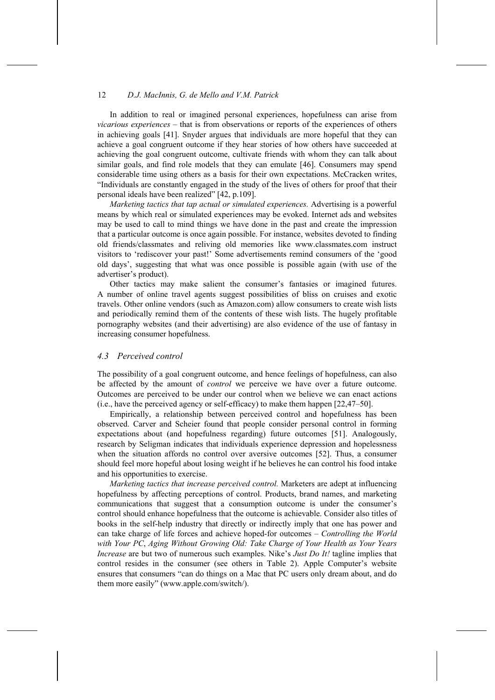In addition to real or imagined personal experiences, hopefulness can arise from *vicarious experiences* – that is from observations or reports of the experiences of others in achieving goals [41]. Snyder argues that individuals are more hopeful that they can achieve a goal congruent outcome if they hear stories of how others have succeeded at achieving the goal congruent outcome, cultivate friends with whom they can talk about similar goals, and find role models that they can emulate [46]. Consumers may spend considerable time using others as a basis for their own expectations. McCracken writes, "Individuals are constantly engaged in the study of the lives of others for proof that their personal ideals have been realized" [42, p.109].

*Marketing tactics that tap actual or simulated experiences.* Advertising is a powerful means by which real or simulated experiences may be evoked. Internet ads and websites may be used to call to mind things we have done in the past and create the impression that a particular outcome is once again possible. For instance, websites devoted to finding old friends/classmates and reliving old memories like www.classmates.com instruct visitors to 'rediscover your past!' Some advertisements remind consumers of the 'good old days', suggesting that what was once possible is possible again (with use of the advertiser's product).

Other tactics may make salient the consumer's fantasies or imagined futures. A number of online travel agents suggest possibilities of bliss on cruises and exotic travels. Other online vendors (such as Amazon.com) allow consumers to create wish lists and periodically remind them of the contents of these wish lists. The hugely profitable pornography websites (and their advertising) are also evidence of the use of fantasy in increasing consumer hopefulness.

#### *4.3 Perceived control*

The possibility of a goal congruent outcome, and hence feelings of hopefulness, can also be affected by the amount of *control* we perceive we have over a future outcome. Outcomes are perceived to be under our control when we believe we can enact actions (i.e., have the perceived agency or self-efficacy) to make them happen [22,47–50].

Empirically, a relationship between perceived control and hopefulness has been observed. Carver and Scheier found that people consider personal control in forming expectations about (and hopefulness regarding) future outcomes [51]. Analogously, research by Seligman indicates that individuals experience depression and hopelessness when the situation affords no control over aversive outcomes [52]. Thus, a consumer should feel more hopeful about losing weight if he believes he can control his food intake and his opportunities to exercise.

*Marketing tactics that increase perceived control.* Marketers are adept at influencing hopefulness by affecting perceptions of control. Products, brand names, and marketing communications that suggest that a consumption outcome is under the consumer's control should enhance hopefulness that the outcome is achievable. Consider also titles of books in the self-help industry that directly or indirectly imply that one has power and can take charge of life forces and achieve hoped-for outcomes – *Controlling the World with Your PC*, *Aging Without Growing Old: Take Charge of Your Health as Your Years Increase* are but two of numerous such examples. Nike's *Just Do It!* tagline implies that control resides in the consumer (see others in Table 2). Apple Computer's website ensures that consumers "can do things on a Mac that PC users only dream about, and do them more easily" (www.apple.com/switch/).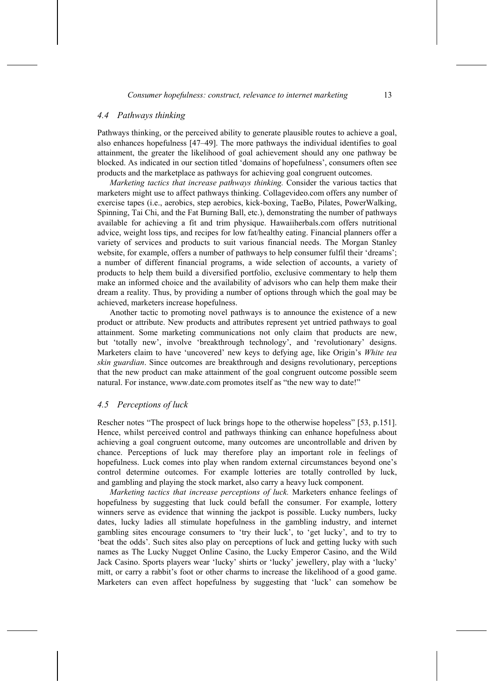#### *4.4 Pathways thinking*

Pathways thinking, or the perceived ability to generate plausible routes to achieve a goal, also enhances hopefulness [47–49]. The more pathways the individual identifies to goal attainment, the greater the likelihood of goal achievement should any one pathway be blocked. As indicated in our section titled 'domains of hopefulness', consumers often see products and the marketplace as pathways for achieving goal congruent outcomes.

*Marketing tactics that increase pathways thinking.* Consider the various tactics that marketers might use to affect pathways thinking. Collagevideo.com offers any number of exercise tapes (i.e., aerobics, step aerobics, kick-boxing, TaeBo, Pilates, PowerWalking, Spinning, Tai Chi, and the Fat Burning Ball, etc.), demonstrating the number of pathways available for achieving a fit and trim physique. Hawaiiherbals.com offers nutritional advice, weight loss tips, and recipes for low fat/healthy eating. Financial planners offer a variety of services and products to suit various financial needs. The Morgan Stanley website, for example, offers a number of pathways to help consumer fulfil their 'dreams'; a number of different financial programs, a wide selection of accounts, a variety of products to help them build a diversified portfolio, exclusive commentary to help them make an informed choice and the availability of advisors who can help them make their dream a reality. Thus, by providing a number of options through which the goal may be achieved, marketers increase hopefulness.

Another tactic to promoting novel pathways is to announce the existence of a new product or attribute. New products and attributes represent yet untried pathways to goal attainment. Some marketing communications not only claim that products are new, but 'totally new', involve 'breakthrough technology', and 'revolutionary' designs. Marketers claim to have 'uncovered' new keys to defying age, like Origin's *White tea skin guardian*. Since outcomes are breakthrough and designs revolutionary, perceptions that the new product can make attainment of the goal congruent outcome possible seem natural. For instance, www.date.com promotes itself as "the new way to date!"

### *4.5 Perceptions of luck*

Rescher notes "The prospect of luck brings hope to the otherwise hopeless" [53, p.151]. Hence, whilst perceived control and pathways thinking can enhance hopefulness about achieving a goal congruent outcome, many outcomes are uncontrollable and driven by chance. Perceptions of luck may therefore play an important role in feelings of hopefulness. Luck comes into play when random external circumstances beyond one's control determine outcomes. For example lotteries are totally controlled by luck, and gambling and playing the stock market, also carry a heavy luck component.

*Marketing tactics that increase perceptions of luck.* Marketers enhance feelings of hopefulness by suggesting that luck could befall the consumer. For example, lottery winners serve as evidence that winning the jackpot is possible. Lucky numbers, lucky dates, lucky ladies all stimulate hopefulness in the gambling industry, and internet gambling sites encourage consumers to 'try their luck', to 'get lucky', and to try to 'beat the odds'. Such sites also play on perceptions of luck and getting lucky with such names as The Lucky Nugget Online Casino, the Lucky Emperor Casino, and the Wild Jack Casino. Sports players wear 'lucky' shirts or 'lucky' jewellery, play with a 'lucky' mitt, or carry a rabbit's foot or other charms to increase the likelihood of a good game. Marketers can even affect hopefulness by suggesting that 'luck' can somehow be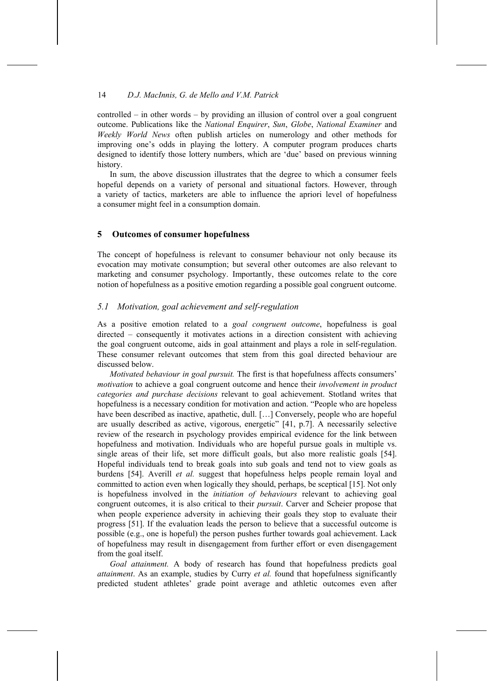controlled – in other words – by providing an illusion of control over a goal congruent outcome. Publications like the *National Enquirer*, *Sun*, *Globe*, *National Examiner* and *Weekly World News* often publish articles on numerology and other methods for improving one's odds in playing the lottery. A computer program produces charts designed to identify those lottery numbers, which are 'due' based on previous winning history.

In sum, the above discussion illustrates that the degree to which a consumer feels hopeful depends on a variety of personal and situational factors. However, through a variety of tactics, marketers are able to influence the apriori level of hopefulness a consumer might feel in a consumption domain.

### **5 Outcomes of consumer hopefulness**

The concept of hopefulness is relevant to consumer behaviour not only because its evocation may motivate consumption; but several other outcomes are also relevant to marketing and consumer psychology. Importantly, these outcomes relate to the core notion of hopefulness as a positive emotion regarding a possible goal congruent outcome.

#### *5.1 Motivation, goal achievement and self-regulation*

As a positive emotion related to a *goal congruent outcome*, hopefulness is goal directed – consequently it motivates actions in a direction consistent with achieving the goal congruent outcome, aids in goal attainment and plays a role in self-regulation. These consumer relevant outcomes that stem from this goal directed behaviour are discussed below.

*Motivated behaviour in goal pursuit.* The first is that hopefulness affects consumers' *motivation* to achieve a goal congruent outcome and hence their *involvement in product categories and purchase decisions* relevant to goal achievement. Stotland writes that hopefulness is a necessary condition for motivation and action. "People who are hopeless have been described as inactive, apathetic, dull. [...] Conversely, people who are hopeful are usually described as active, vigorous, energetic" [41, p.7]. A necessarily selective review of the research in psychology provides empirical evidence for the link between hopefulness and motivation. Individuals who are hopeful pursue goals in multiple vs. single areas of their life, set more difficult goals, but also more realistic goals [54]. Hopeful individuals tend to break goals into sub goals and tend not to view goals as burdens [54]. Averill *et al.* suggest that hopefulness helps people remain loyal and committed to action even when logically they should, perhaps, be sceptical [15]. Not only is hopefulness involved in the *initiation of behaviours* relevant to achieving goal congruent outcomes, it is also critical to their *pursuit*. Carver and Scheier propose that when people experience adversity in achieving their goals they stop to evaluate their progress [51]. If the evaluation leads the person to believe that a successful outcome is possible (e.g., one is hopeful) the person pushes further towards goal achievement. Lack of hopefulness may result in disengagement from further effort or even disengagement from the goal itself.

*Goal attainment.* A body of research has found that hopefulness predicts goal *attainment*. As an example, studies by Curry *et al.* found that hopefulness significantly predicted student athletes' grade point average and athletic outcomes even after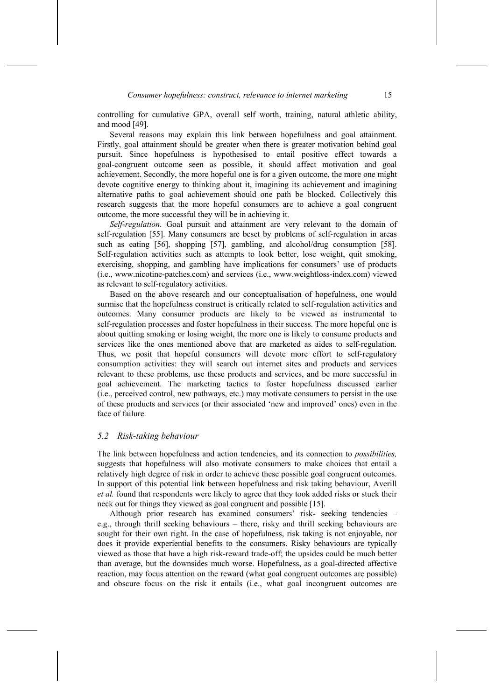controlling for cumulative GPA, overall self worth, training, natural athletic ability, and mood [49].

Several reasons may explain this link between hopefulness and goal attainment. Firstly, goal attainment should be greater when there is greater motivation behind goal pursuit. Since hopefulness is hypothesised to entail positive effect towards a goal-congruent outcome seen as possible, it should affect motivation and goal achievement. Secondly, the more hopeful one is for a given outcome, the more one might devote cognitive energy to thinking about it, imagining its achievement and imagining alternative paths to goal achievement should one path be blocked. Collectively this research suggests that the more hopeful consumers are to achieve a goal congruent outcome, the more successful they will be in achieving it.

*Self-regulation.* Goal pursuit and attainment are very relevant to the domain of self-regulation [55]. Many consumers are beset by problems of self-regulation in areas such as eating [56], shopping [57], gambling, and alcohol/drug consumption [58]. Self-regulation activities such as attempts to look better, lose weight, quit smoking, exercising, shopping, and gambling have implications for consumers' use of products (i.e., www.nicotine-patches.com) and services (i.e., www.weightloss-index.com) viewed as relevant to self-regulatory activities.

Based on the above research and our conceptualisation of hopefulness, one would surmise that the hopefulness construct is critically related to self-regulation activities and outcomes. Many consumer products are likely to be viewed as instrumental to self-regulation processes and foster hopefulness in their success. The more hopeful one is about quitting smoking or losing weight, the more one is likely to consume products and services like the ones mentioned above that are marketed as aides to self-regulation. Thus, we posit that hopeful consumers will devote more effort to self-regulatory consumption activities: they will search out internet sites and products and services relevant to these problems, use these products and services, and be more successful in goal achievement. The marketing tactics to foster hopefulness discussed earlier (i.e., perceived control, new pathways, etc.) may motivate consumers to persist in the use of these products and services (or their associated 'new and improved' ones) even in the face of failure.

#### *5.2 Risk-taking behaviour*

The link between hopefulness and action tendencies, and its connection to *possibilities,* suggests that hopefulness will also motivate consumers to make choices that entail a relatively high degree of risk in order to achieve these possible goal congruent outcomes. In support of this potential link between hopefulness and risk taking behaviour, Averill *et al.* found that respondents were likely to agree that they took added risks or stuck their neck out for things they viewed as goal congruent and possible [15].

Although prior research has examined consumers' risk- seeking tendencies – e.g., through thrill seeking behaviours – there, risky and thrill seeking behaviours are sought for their own right. In the case of hopefulness, risk taking is not enjoyable, nor does it provide experiential benefits to the consumers. Risky behaviours are typically viewed as those that have a high risk-reward trade-off; the upsides could be much better than average, but the downsides much worse. Hopefulness, as a goal-directed affective reaction, may focus attention on the reward (what goal congruent outcomes are possible) and obscure focus on the risk it entails (i.e., what goal incongruent outcomes are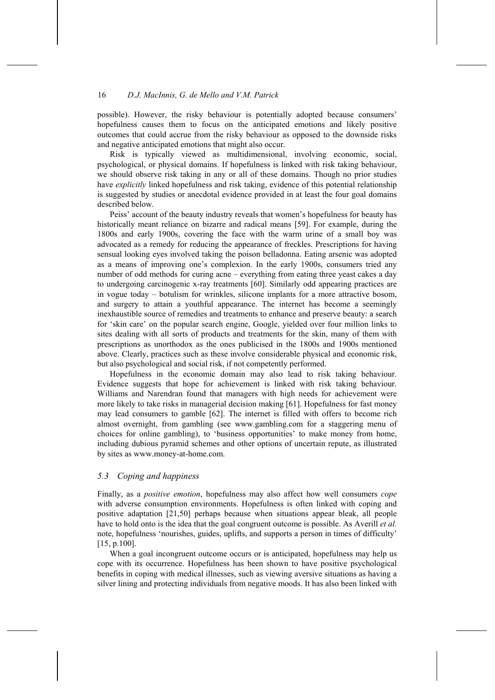possible). However, the risky behaviour is potentially adopted because consumers' hopefulness causes them to focus on the anticipated emotions and likely positive outcomes that could accrue from the risky behaviour as opposed to the downside risks and negative anticipated emotions that might also occur.

Risk is typically viewed as multidimensional, involving economic, social, psychological, or physical domains. If hopefulness is linked with risk taking behaviour, we should observe risk taking in any or all of these domains. Though no prior studies have *explicitly* linked hopefulness and risk taking, evidence of this potential relationship is suggested by studies or anecdotal evidence provided in at least the four goal domains described below.

Peiss' account of the beauty industry reveals that women's hopefulness for beauty has historically meant reliance on bizarre and radical means [59]. For example, during the 1800s and early 1900s, covering the face with the warm urine of a small boy was advocated as a remedy for reducing the appearance of freckles. Prescriptions for having sensual looking eyes involved taking the poison belladonna. Eating arsenic was adopted as a means of improving one's complexion. In the early 1900s, consumers tried any number of odd methods for curing acne – everything from eating three yeast cakes a day to undergoing carcinogenic x-ray treatments [60]. Similarly odd appearing practices are in vogue today – botulism for wrinkles, silicone implants for a more attractive bosom, and surgery to attain a youthful appearance. The internet has become a seemingly inexhaustible source of remedies and treatments to enhance and preserve beauty: a search for 'skin care' on the popular search engine, Google, yielded over four million links to sites dealing with all sorts of products and treatments for the skin, many of them with prescriptions as unorthodox as the ones publicised in the 1800s and 1900s mentioned above. Clearly, practices such as these involve considerable physical and economic risk, but also psychological and social risk, if not competently performed.

Hopefulness in the economic domain may also lead to risk taking behaviour. Evidence suggests that hope for achievement is linked with risk taking behaviour. Williams and Narendran found that managers with high needs for achievement were more likely to take risks in managerial decision making [61]. Hopefulness for fast money may lead consumers to gamble [62]. The internet is filled with offers to become rich almost overnight, from gambling (see www.gambling.com for a staggering menu of choices for online gambling), to 'business opportunities' to make money from home, including dubious pyramid schemes and other options of uncertain repute, as illustrated by sites as www.money-at-home.com.

#### *5.3 Coping and happiness*

Finally, as a *positive emotion*, hopefulness may also affect how well consumers *cope*  with adverse consumption environments. Hopefulness is often linked with coping and positive adaptation [21,50] perhaps because when situations appear bleak, all people have to hold onto is the idea that the goal congruent outcome is possible. As Averill *et al.* note, hopefulness 'nourishes, guides, uplifts, and supports a person in times of difficulty' [15, p.100].

When a goal incongruent outcome occurs or is anticipated, hopefulness may help us cope with its occurrence. Hopefulness has been shown to have positive psychological benefits in coping with medical illnesses, such as viewing aversive situations as having a silver lining and protecting individuals from negative moods. It has also been linked with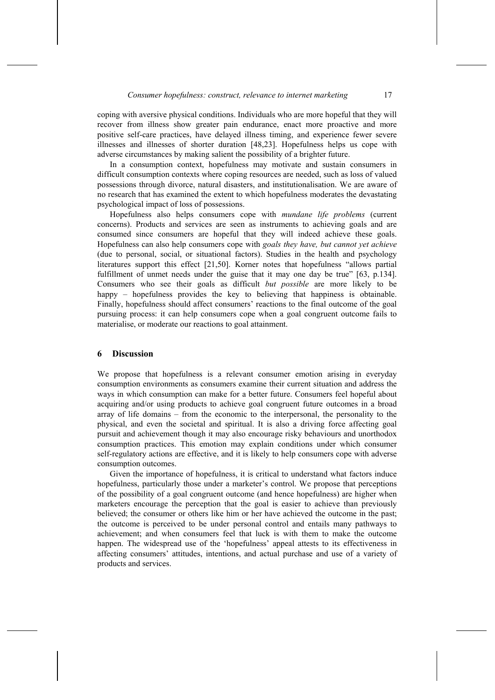coping with aversive physical conditions. Individuals who are more hopeful that they will recover from illness show greater pain endurance, enact more proactive and more positive self-care practices, have delayed illness timing, and experience fewer severe illnesses and illnesses of shorter duration [48,23]. Hopefulness helps us cope with adverse circumstances by making salient the possibility of a brighter future.

In a consumption context, hopefulness may motivate and sustain consumers in difficult consumption contexts where coping resources are needed, such as loss of valued possessions through divorce, natural disasters, and institutionalisation. We are aware of no research that has examined the extent to which hopefulness moderates the devastating psychological impact of loss of possessions.

Hopefulness also helps consumers cope with *mundane life problems* (current concerns). Products and services are seen as instruments to achieving goals and are consumed since consumers are hopeful that they will indeed achieve these goals. Hopefulness can also help consumers cope with *goals they have, but cannot yet achieve* (due to personal, social, or situational factors). Studies in the health and psychology literatures support this effect [21,50]. Korner notes that hopefulness "allows partial fulfillment of unmet needs under the guise that it may one day be true" [63, p.134]. Consumers who see their goals as difficult *but possible* are more likely to be happy – hopefulness provides the key to believing that happiness is obtainable. Finally, hopefulness should affect consumers' reactions to the final outcome of the goal pursuing process: it can help consumers cope when a goal congruent outcome fails to materialise, or moderate our reactions to goal attainment.

## **6 Discussion**

We propose that hopefulness is a relevant consumer emotion arising in everyday consumption environments as consumers examine their current situation and address the ways in which consumption can make for a better future. Consumers feel hopeful about acquiring and/or using products to achieve goal congruent future outcomes in a broad array of life domains – from the economic to the interpersonal, the personality to the physical, and even the societal and spiritual. It is also a driving force affecting goal pursuit and achievement though it may also encourage risky behaviours and unorthodox consumption practices. This emotion may explain conditions under which consumer self-regulatory actions are effective, and it is likely to help consumers cope with adverse consumption outcomes.

Given the importance of hopefulness, it is critical to understand what factors induce hopefulness, particularly those under a marketer's control. We propose that perceptions of the possibility of a goal congruent outcome (and hence hopefulness) are higher when marketers encourage the perception that the goal is easier to achieve than previously believed; the consumer or others like him or her have achieved the outcome in the past; the outcome is perceived to be under personal control and entails many pathways to achievement; and when consumers feel that luck is with them to make the outcome happen. The widespread use of the 'hopefulness' appeal attests to its effectiveness in affecting consumers' attitudes, intentions, and actual purchase and use of a variety of products and services.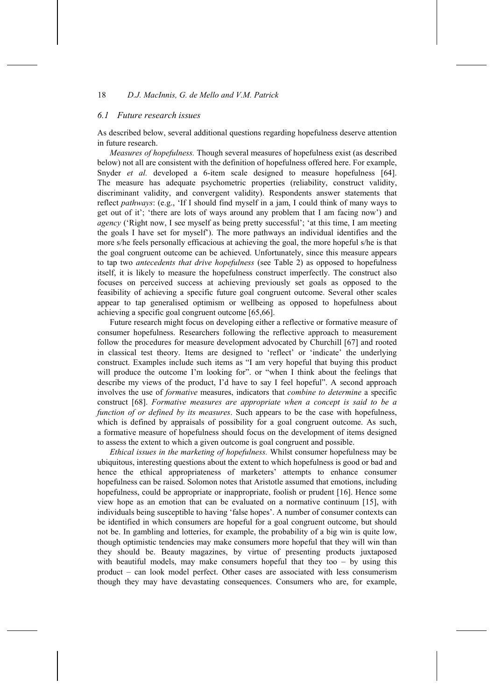#### *6.1 Future research issues*

As described below, several additional questions regarding hopefulness deserve attention in future research.

*Measures of hopefulness.* Though several measures of hopefulness exist (as described below) not all are consistent with the definition of hopefulness offered here. For example, Snyder *et al.* developed a 6-item scale designed to measure hopefulness [64]. The measure has adequate psychometric properties (reliability, construct validity, discriminant validity, and convergent validity). Respondents answer statements that reflect *pathways*: (e.g., 'If I should find myself in a jam, I could think of many ways to get out of it'; 'there are lots of ways around any problem that I am facing now') and *agency* ('Right now, I see myself as being pretty successful'; 'at this time, I am meeting the goals I have set for myself'). The more pathways an individual identifies and the more s/he feels personally efficacious at achieving the goal, the more hopeful s/he is that the goal congruent outcome can be achieved. Unfortunately, since this measure appears to tap two *antecedents that drive hopefulness* (see Table 2) as opposed to hopefulness itself, it is likely to measure the hopefulness construct imperfectly. The construct also focuses on perceived success at achieving previously set goals as opposed to the feasibility of achieving a specific future goal congruent outcome. Several other scales appear to tap generalised optimism or wellbeing as opposed to hopefulness about achieving a specific goal congruent outcome [65,66].

Future research might focus on developing either a reflective or formative measure of consumer hopefulness. Researchers following the reflective approach to measurement follow the procedures for measure development advocated by Churchill [67] and rooted in classical test theory. Items are designed to 'reflect' or 'indicate' the underlying construct. Examples include such items as "I am very hopeful that buying this product will produce the outcome I'm looking for". or "when I think about the feelings that describe my views of the product, I'd have to say I feel hopeful". A second approach involves the use of *formative* measures, indicators that *combine to determine* a specific construct [68]. *Formative measures are appropriate when a concept is said to be a function of or defined by its measures*. Such appears to be the case with hopefulness, which is defined by appraisals of possibility for a goal congruent outcome. As such, a formative measure of hopefulness should focus on the development of items designed to assess the extent to which a given outcome is goal congruent and possible.

*Ethical issues in the marketing of hopefulness.* Whilst consumer hopefulness may be ubiquitous, interesting questions about the extent to which hopefulness is good or bad and hence the ethical appropriateness of marketers' attempts to enhance consumer hopefulness can be raised. Solomon notes that Aristotle assumed that emotions, including hopefulness, could be appropriate or inappropriate, foolish or prudent [16]. Hence some view hope as an emotion that can be evaluated on a normative continuum [15], with individuals being susceptible to having 'false hopes'. A number of consumer contexts can be identified in which consumers are hopeful for a goal congruent outcome, but should not be. In gambling and lotteries, for example, the probability of a big win is quite low, though optimistic tendencies may make consumers more hopeful that they will win than they should be. Beauty magazines, by virtue of presenting products juxtaposed with beautiful models, may make consumers hopeful that they too  $-$  by using this product – can look model perfect. Other cases are associated with less consumerism though they may have devastating consequences. Consumers who are, for example,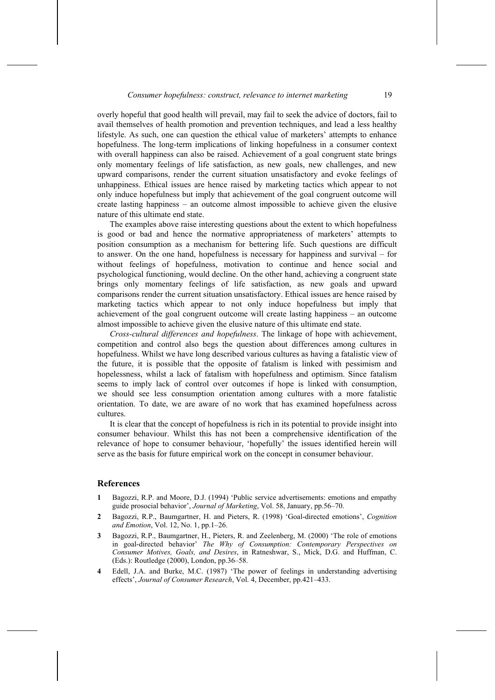#### *Consumer hopefulness: construct, relevance to internet marketing* 19

overly hopeful that good health will prevail, may fail to seek the advice of doctors, fail to avail themselves of health promotion and prevention techniques, and lead a less healthy lifestyle. As such, one can question the ethical value of marketers' attempts to enhance hopefulness. The long-term implications of linking hopefulness in a consumer context with overall happiness can also be raised. Achievement of a goal congruent state brings only momentary feelings of life satisfaction, as new goals, new challenges, and new upward comparisons, render the current situation unsatisfactory and evoke feelings of unhappiness. Ethical issues are hence raised by marketing tactics which appear to not only induce hopefulness but imply that achievement of the goal congruent outcome will create lasting happiness – an outcome almost impossible to achieve given the elusive nature of this ultimate end state.

The examples above raise interesting questions about the extent to which hopefulness is good or bad and hence the normative appropriateness of marketers' attempts to position consumption as a mechanism for bettering life. Such questions are difficult to answer. On the one hand, hopefulness is necessary for happiness and survival – for without feelings of hopefulness, motivation to continue and hence social and psychological functioning, would decline. On the other hand, achieving a congruent state brings only momentary feelings of life satisfaction, as new goals and upward comparisons render the current situation unsatisfactory. Ethical issues are hence raised by marketing tactics which appear to not only induce hopefulness but imply that achievement of the goal congruent outcome will create lasting happiness – an outcome almost impossible to achieve given the elusive nature of this ultimate end state.

*Cross-cultural differences and hopefulness*. The linkage of hope with achievement, competition and control also begs the question about differences among cultures in hopefulness. Whilst we have long described various cultures as having a fatalistic view of the future, it is possible that the opposite of fatalism is linked with pessimism and hopelessness, whilst a lack of fatalism with hopefulness and optimism. Since fatalism seems to imply lack of control over outcomes if hope is linked with consumption, we should see less consumption orientation among cultures with a more fatalistic orientation. To date, we are aware of no work that has examined hopefulness across cultures.

It is clear that the concept of hopefulness is rich in its potential to provide insight into consumer behaviour. Whilst this has not been a comprehensive identification of the relevance of hope to consumer behaviour, 'hopefully' the issues identified herein will serve as the basis for future empirical work on the concept in consumer behaviour.

#### **References**

- **1** Bagozzi, R.P. and Moore, D.J. (1994) 'Public service advertisements: emotions and empathy guide prosocial behavior', *Journal of Marketing*, Vol. 58, January, pp.56–70.
- **2** Bagozzi, R.P., Baumgartner, H. and Pieters, R. (1998) 'Goal-directed emotions', *Cognition and Emotion*, Vol. 12, No. 1, pp.1–26.
- **3** Bagozzi, R.P., Baumgartner, H., Pieters, R. and Zeelenberg, M. (2000) 'The role of emotions in goal-directed behavior' *The Why of Consumption: Contemporary Perspectives on Consumer Motives, Goals, and Desires*, in Ratneshwar, S., Mick, D.G. and Huffman, C. (Eds.): Routledge (2000), London, pp.36–58.
- **4** Edell, J.A. and Burke, M.C. (1987) 'The power of feelings in understanding advertising effects', *Journal of Consumer Research*, Vol. 4, December, pp.421–433.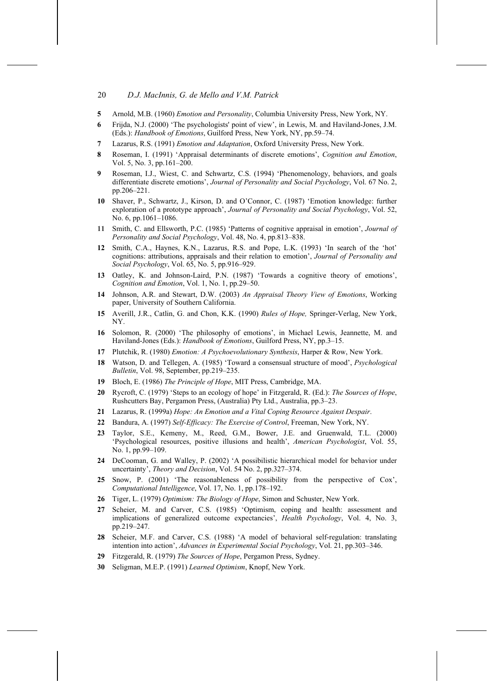- **5** Arnold, M.B. (1960) *Emotion and Personality*, Columbia University Press, New York, NY.
- **6** Frijda, N.J. (2000) 'The psychologists' point of view', in Lewis, M. and Haviland-Jones, J.M. (Eds.): *Handbook of Emotions*, Guilford Press, New York, NY, pp.59–74.
- **7** Lazarus, R.S. (1991) *Emotion and Adaptation*, Oxford University Press, New York.
- **8** Roseman, I. (1991) 'Appraisal determinants of discrete emotions', *Cognition and Emotion*, Vol. 5, No. 3, pp.161–200.
- **9** Roseman, I.J., Wiest, C. and Schwartz, C.S. (1994) 'Phenomenology, behaviors, and goals differentiate discrete emotions', *Journal of Personality and Social Psychology*, Vol. 67 No. 2, pp.206–221.
- **10** Shaver, P., Schwartz, J., Kirson, D. and O'Connor, C. (1987) 'Emotion knowledge: further exploration of a prototype approach', *Journal of Personality and Social Psychology*, Vol. 52, No. 6, pp.1061–1086.
- **11** Smith, C. and Ellsworth, P.C. (1985) 'Patterns of cognitive appraisal in emotion', *Journal of Personality and Social Psychology*, Vol. 48, No. 4, pp.813–838.
- **12** Smith, C.A., Haynes, K.N., Lazarus, R.S. and Pope, L.K. (1993) 'In search of the 'hot' cognitions: attributions, appraisals and their relation to emotion', *Journal of Personality and Social Psychology*, Vol. 65, No. 5, pp.916–929.
- **13** Oatley, K. and Johnson-Laird, P.N. (1987) 'Towards a cognitive theory of emotions', *Cognition and Emotion*, Vol. 1, No. 1, pp.29–50.
- **14** Johnson, A.R. and Stewart, D.W. (2003) *An Appraisal Theory View of Emotions*, Working paper, University of Southern California.
- **15** Averill, J.R., Catlin, G. and Chon, K.K. (1990) *Rules of Hope,* Springer-Verlag, New York, NY.
- **16** Solomon, R. (2000) 'The philosophy of emotions', in Michael Lewis, Jeannette, M. and Haviland-Jones (Eds.): *Handbook of Emotions*, Guilford Press, NY, pp.3–15.
- **17** Plutchik, R. (1980) *Emotion: A Psychoevolutionary Synthesis*, Harper & Row, New York.
- **18** Watson, D. and Tellegen, A. (1985) 'Toward a consensual structure of mood', *Psychological Bulletin*, Vol. 98, September, pp.219–235.
- **19** Bloch, E. (1986) *The Principle of Hope*, MIT Press, Cambridge, MA.
- **20** Rycroft, C. (1979) 'Steps to an ecology of hope' in Fitzgerald, R. (Ed.): *The Sources of Hope*, Rushcutters Bay, Pergamon Press, (Australia) Pty Ltd., Australia, pp.3–23.
- **21** Lazarus, R. (1999a) *Hope: An Emotion and a Vital Coping Resource Against Despair*.
- **22** Bandura, A. (1997) *Self-Efficacy: The Exercise of Control*, Freeman, New York, NY.
- **23** Taylor, S.E., Kemeny, M., Reed, G.M., Bower, J.E. and Gruenwald, T.L. (2000) 'Psychological resources, positive illusions and health', *American Psychologist*, Vol. 55, No. 1, pp.99–109.
- **24** DeCooman, G. and Walley, P. (2002) 'A possibilistic hierarchical model for behavior under uncertainty', *Theory and Decision*, Vol. 54 No. 2, pp.327–374.
- **25** Snow, P. (2001) 'The reasonableness of possibility from the perspective of Cox', *Computational Intelligence*, Vol. 17, No. 1, pp.178–192.
- **26** Tiger, L. (1979) *Optimism: The Biology of Hope*, Simon and Schuster, New York.
- **27** Scheier, M. and Carver, C.S. (1985) 'Optimism, coping and health: assessment and implications of generalized outcome expectancies', *Health Psychology*, Vol. 4, No. 3, pp.219–247.
- **28** Scheier, M.F. and Carver, C.S. (1988) 'A model of behavioral self-regulation: translating intention into action', *Advances in Experimental Social Psychology*, Vol. 21, pp.303–346.
- **29** Fitzgerald, R. (1979) *The Sources of Hope*, Pergamon Press, Sydney.
- **30** Seligman, M.E.P. (1991) *Learned Optimism*, Knopf, New York.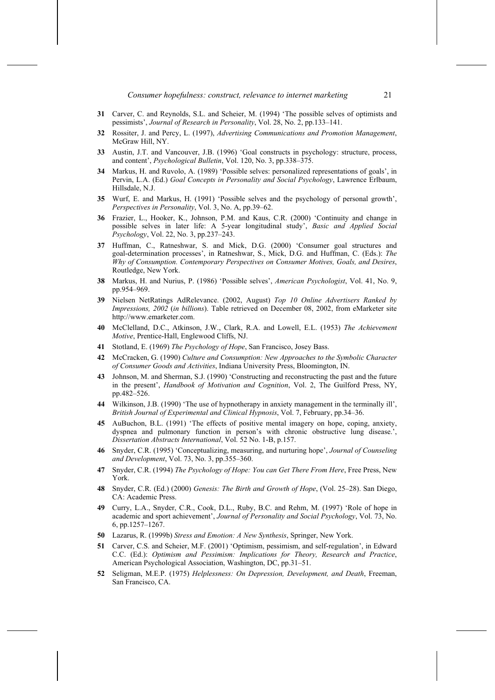- **31** Carver, C. and Reynolds, S.L. and Scheier, M. (1994) 'The possible selves of optimists and pessimists', *Journal of Research in Personality*, Vol. 28, No. 2, pp.133–141.
- **32** Rossiter, J. and Percy, L. (1997), *Advertising Communications and Promotion Management*, McGraw Hill, NY.
- **33** Austin, J.T. and Vancouver, J.B. (1996) 'Goal constructs in psychology: structure, process, and content', *Psychological Bulletin*, Vol. 120, No. 3, pp.338–375.
- **34** Markus, H. and Ruvolo, A. (1989) 'Possible selves: personalized representations of goals', in Pervin, L.A. (Ed.) *Goal Concepts in Personality and Social Psychology*, Lawrence Erlbaum, Hillsdale, N.J.
- **35** Wurf, E. and Markus, H. (1991) 'Possible selves and the psychology of personal growth', *Perspectives in Personality*, Vol. 3, No. A, pp.39–62.
- **36** Frazier, L., Hooker, K., Johnson, P.M. and Kaus, C.R. (2000) 'Continuity and change in possible selves in later life: A 5-year longitudinal study', *Basic and Applied Social Psychology*, Vol. 22, No. 3, pp.237–243.
- **37** Huffman, C., Ratneshwar, S. and Mick, D.G. (2000) 'Consumer goal structures and goal-determination processes', in Ratneshwar, S., Mick, D.G. and Huffman, C. (Eds.): *The Why of Consumption. Contemporary Perspectives on Consumer Motives, Goals, and Desires*, Routledge, New York.
- **38** Markus, H. and Nurius, P. (1986) 'Possible selves', *American Psychologist*, Vol. 41, No. 9, pp.954–969.
- **39** Nielsen NetRatings AdRelevance. (2002, August) *Top 10 Online Advertisers Ranked by Impressions, 2002* (*in billions*). Table retrieved on December 08, 2002, from eMarketer site http://www.emarketer.com.
- **40** McClelland, D.C., Atkinson, J.W., Clark, R.A. and Lowell, E.L. (1953) *The Achievement Motive*, Prentice-Hall, Englewood Cliffs, NJ.
- **41** Stotland, E. (1969) *The Psychology of Hope*, San Francisco, Josey Bass.
- **42** McCracken, G. (1990) *Culture and Consumption: New Approaches to the Symbolic Character of Consumer Goods and Activities*, Indiana University Press, Bloomington, IN.
- **43** Johnson, M. and Sherman, S.J. (1990) 'Constructing and reconstructing the past and the future in the present', *Handbook of Motivation and Cognition*, Vol. 2, The Guilford Press, NY, pp.482–526.
- **44** Wilkinson, J.B. (1990) 'The use of hypnotherapy in anxiety management in the terminally ill', *British Journal of Experimental and Clinical Hypnosis*, Vol. 7, February, pp.34–36.
- **45** AuBuchon, B.L. (1991) 'The effects of positive mental imagery on hope, coping, anxiety, dyspnea and pulmonary function in person's with chronic obstructive lung disease.', *Dissertation Abstracts International*, Vol. 52 No. 1-B, p.157.
- **46** Snyder, C.R. (1995) 'Conceptualizing, measuring, and nurturing hope', *Journal of Counseling and Development*, Vol. 73, No. 3, pp.355–360.
- **47** Snyder, C.R. (1994) *The Psychology of Hope: You can Get There From Here*, Free Press, New York.
- **48** Snyder, C.R. (Ed.) (2000) *Genesis: The Birth and Growth of Hope*, (Vol. 25–28). San Diego, CA: Academic Press.
- **49** Curry, L.A., Snyder, C.R., Cook, D.L., Ruby, B.C. and Rehm, M. (1997) 'Role of hope in academic and sport achievement', *Journal of Personality and Social Psychology*, Vol. 73, No. 6, pp.1257–1267.
- **50** Lazarus, R. (1999b) *Stress and Emotion: A New Synthesis*, Springer, New York.
- **51** Carver, C.S. and Scheier, M.F. (2001) 'Optimism, pessimism, and self-regulation', in Edward C.C. (Ed.): *Optimism and Pessimism: Implications for Theory, Research and Practice*, American Psychological Association, Washington, DC, pp.31–51.
- **52** Seligman, M.E.P. (1975) *Helplessness: On Depression, Development, and Death*, Freeman, San Francisco, CA.